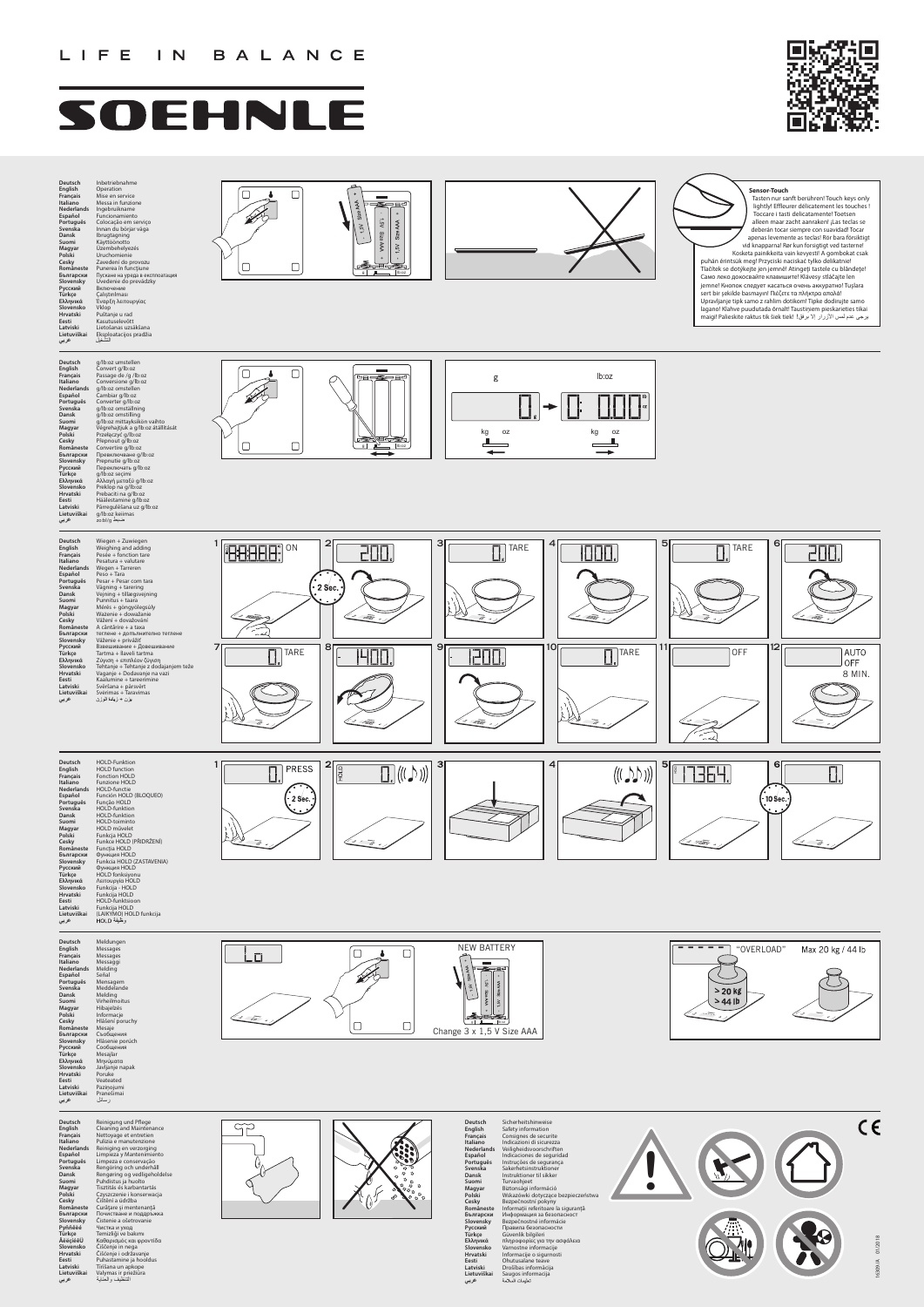

# SOEHNLE



Deutsch<br>English<br>Erançais<br>Français<br>Nederlands<br>Speningué<br>Spenska<br>Suomi<br>Magyar<br>Cesky<br>Bomâneste<br>Spenrapcκuй<br>Spenrapcκuй<br>Spenrapcku<br>Türkçe<br>Türkçe<br>Türkçe<br>Türkçe<br>Türkçe<br>Türkçe<br>Türkçe<br>Türkçe<br>Suomineste<br>Suomineste<br>Suomineste<br>Suomi **Eesti Latviski Lietuviškai عربي** Sicherheitshinweise<br>Safety information<br>Safety information<br>Consignes de securite<br>Meliagheidsvoorschriften<br>Veiligheidsvoorschriften<br>Instructions de segural<br>Instructions de segural<br>Instruction<br>Turvaohjeet<br>Turvaohjeet<br>Turvaoh







**Deutsch English Français Italiano Nederlands** Español<br>Português<br>Svenska<br>Smuska<br>Magyar<br>Polski<br>Pornapcky<br>Bornapcky<br>Shovensky<br>Pyññêèé<br>Türkçe<br>Pirince<br>Pirince<br>Pirince<br>Pirince<br>Türkçe<br>Nikçe<br>Shovensky<br>Türkçe<br>Birince<br>Birince<br>Birince<br>Eisti Hurakki<br>Latviski<br>Eesti Hurakki<br>Latvis **عربي** Reinigung und Pflege<br>Cleaning and Maintenance<br>Cleaning and Maintenance<br>Reiniging en verzorging<br>Reiniging en verzorging<br>Limpieza y Mantenimiento<br>Limpeza e conservação<br>Rengôring og veldigeholdelse<br>Puhdistus és karbanatrás<br>





| Deutsch           | g/lb:oz umstellen                  |
|-------------------|------------------------------------|
| English           | Convert g/lb:oz                    |
| <b>Français</b>   | Passage de /g /lb:oz               |
| Italiano          | Conversione g/lb:oz                |
| <b>Nederlands</b> | g/lb:oz omstellen                  |
| Español           | Cambiar g/lb:oz                    |
| Português         | Converter g/lb:oz                  |
| Svenska           | g/lb:oz omställning                |
| <b>Dansk</b>      | g/lb:oz omstilling                 |
| Suomi             | g/lb:oz mittayksikön vaihto        |
| Magyar            | Végrehajtjuk a g/lb:oz átállítását |
| Polski            | Przełączyć g/lb:oz                 |
| Cesky             | Přepnout g/lb:oz                   |
| Româneste         | Convertire g/lb:oz                 |
| Български         | Превключване q/lb:oz               |
| Slovensky         | Prepnutie g/lb:oz                  |
| Русский           | Переключать q/lb:oz                |
| Türkçe            | g/lb:oz secimi                     |
| Ελληνικά          | Αλλαγή μεταξύ g/lb:oz              |
| Slovensko         | Preklop na q/lb:oz                 |
| <b>Hrvatski</b>   | Prebaciti na g/lb:oz               |
| Eesti             | Häälestamine g/lb:oz               |
| Latviski          | Pārregulēšana uz g/lb:oz           |
| Lietuviškai       | g/lb:oz keiimas                    |
|                   |                                    |

| Deutsch<br>English<br>Français<br>Italiano<br>Nederlands<br>Español<br>Português<br>Svenska<br>Dansk<br>Suomi<br>Magyar<br>Polski<br>Cesky<br>Româneste<br>Български<br>Slovensky<br>Русский<br>Türkçe<br>Ελληνικά<br>Slovensko<br>Hrvatski<br>Eesti<br>Latviski<br>Lietuviškai | Inbetriebnahme<br>Operation<br>Mise en service<br>Messa in funzione<br>Ingebruikname<br>Funcionamiento<br>Colocação em serviço<br>Innan du börjar väga<br>Ibrugtagning<br>Käyttöönotto<br>Üzembehelyezés<br>Uruchomienie<br>Zavedení do provozu<br>Punerea în funcțiune<br>Пускане на уреда в експлоатация<br>Uvedenie do prevádzky<br>Включение<br>Calıştırılması<br>Έναρξη λειτουργίας<br>Vklop<br>Puštanje u rad<br>Kasutuselevõtt<br>Lietošanas uzsākšana<br>Eksploatacijos pradžia | $\overline{\phantom{a}}$<br><del>sa na</del><br>ঽ<br>ᆸ<br>∡<br>Size<br>ğ<br>$\mathbb{S}^r$<br>Siz<br>ద<br>lb:oz |  |  |
|---------------------------------------------------------------------------------------------------------------------------------------------------------------------------------------------------------------------------------------------------------------------------------|-----------------------------------------------------------------------------------------------------------------------------------------------------------------------------------------------------------------------------------------------------------------------------------------------------------------------------------------------------------------------------------------------------------------------------------------------------------------------------------------|-----------------------------------------------------------------------------------------------------------------|--|--|
| عربي                                                                                                                                                                                                                                                                            | التشغيل                                                                                                                                                                                                                                                                                                                                                                                                                                                                                 |                                                                                                                 |  |  |

**Sensor-Touch** Tasten nur sanft berühren! Touch keys only lightly! Effleurer délicatement les touches ! Toccare i tasti delicatamente! Toetsen alleen maar zacht aanraken! ¡Las teclas se deberán tocar siempre con suavidad! Tocar apenas levemente as teclas! Rör bara försiktigt vid knapparna! Rør kun forsigtigt ved tasterne! Kosketa painikkeita vain kevyesti! A gombokat csak puhán érintsük meg! Przyciski naciskać tylko delikatnie! Tlačítek se dotýkejte jen jemně! Atingeţi tastele cu blândeţe! Само леко докосвайте клавишите! Klávesy stláčajte len jemne! Кнопок следует касаться очень аккуратно! Tuşlara sert bir şekilde basmayın! Πιέζετε τα πλήκτρα απαλά! Upravljanje tipk samo z rahlim dotikom! Tipke dodirujte samo lagano! Klahve puudutada õrnalt! Taustiņiem pieskarieties tikai<br>maigi! Palieskite raktus tik šiek tiek! يرجى عدم لمس الأزرار إلا برفق!





| Svenska         | Meddelande      |
|-----------------|-----------------|
| Dansk           | Melding         |
| Suomi           | Virheilmoitus   |
| Magyar          | Hibajelzés      |
| Polski          | Informacje      |
| Cesky           | Hlášení poruchy |
| Româneste       | Mesaje          |
| Български       | Съобшения       |
| Slovensky       | Hlásenie porúch |
| Русский         | Сообшения       |
| Türkçe          | Mesajlar        |
| Ελληνικά        | Μηνύματα        |
| Slovensko       | Javljanje napak |
| <b>Hrvatski</b> | Poruke          |
| Eesti           | Veateated       |
| Latviski        | Pazinojumi      |
| Lietuviškai     | Pranešimai      |
| عربي            | ر سائل          |

**عربي**